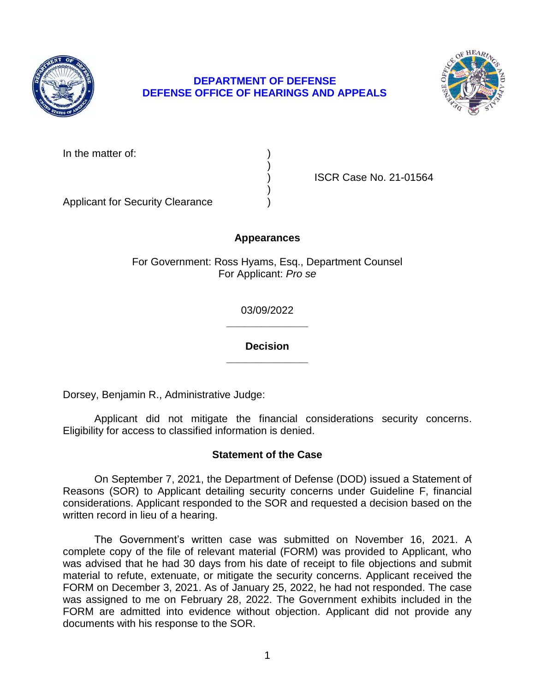

## **DEPARTMENT OF DEFENSE DEFENSE OFFICE OF HEARINGS AND APPEALS**



In the matter of:

) ISCR Case No. 21-01564

Applicant for Security Clearance )

## **Appearances**

)

)

For Government: Ross Hyams, Esq., Department Counsel For Applicant: *Pro se* 

> **\_\_\_\_\_\_\_\_\_\_\_\_\_\_**  03/09/2022

> **\_\_\_\_\_\_\_\_\_\_\_\_\_\_ Decision**

Dorsey, Benjamin R., Administrative Judge:

 Applicant did not mitigate the financial considerations security concerns. Eligibility for access to classified information is denied.

### **Statement of the Case**

 On September 7, 2021, the Department of Defense (DOD) issued a Statement of considerations. Applicant responded to the SOR and requested a decision based on the Reasons (SOR) to Applicant detailing security concerns under Guideline F, financial written record in lieu of a hearing.

 The Government's written case was submitted on November 16, 2021. A complete copy of the file of relevant material (FORM) was provided to Applicant, who was advised that he had 30 days from his date of receipt to file objections and submit material to refute, extenuate, or mitigate the security concerns. Applicant received the FORM on December 3, 2021. As of January 25, 2022, he had not responded. The case was assigned to me on February 28, 2022. The Government exhibits included in the FORM are admitted into evidence without objection. Applicant did not provide any documents with his response to the SOR.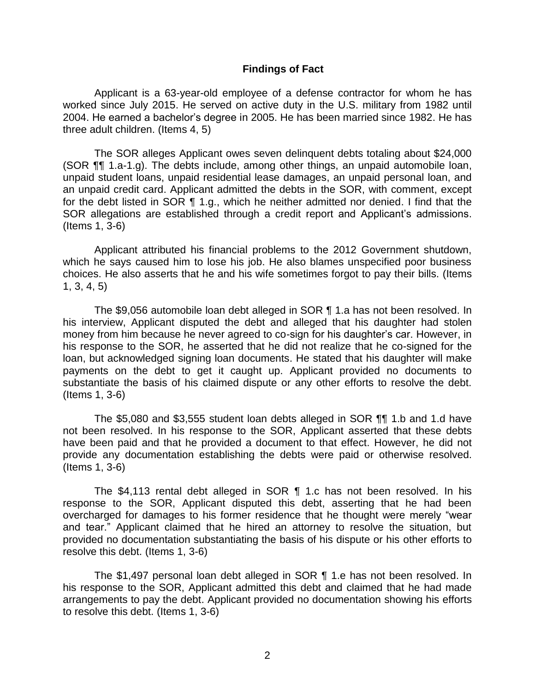#### **Findings of Fact**

 Applicant is a 63-year-old employee of a defense contractor for whom he has worked since July 2015. He served on active duty in the U.S. military from 1982 until 2004. He earned a bachelor's degree in 2005. He has been married since 1982. He has three adult children. (Items 4, 5)

 unpaid student loans, unpaid residential lease damages, an unpaid personal loan, and for the debt listed in SOR ¶ 1.g., which he neither admitted nor denied. I find that the The SOR alleges Applicant owes seven delinquent debts totaling about \$24,000 (SOR ¶¶ 1.a-1.g). The debts include, among other things, an unpaid automobile loan, an unpaid credit card. Applicant admitted the debts in the SOR, with comment, except SOR allegations are established through a credit report and Applicant's admissions. (Items 1, 3-6)

 Applicant attributed his financial problems to the 2012 Government shutdown, which he says caused him to lose his job. He also blames unspecified poor business choices. He also asserts that he and his wife sometimes forgot to pay their bills. (Items 1, 3, 4, 5)

 The \$9,056 automobile loan debt alleged in SOR ¶ 1.a has not been resolved. In his interview, Applicant disputed the debt and alleged that his daughter had stolen his response to the SOR, he asserted that he did not realize that he co-signed for the loan, but acknowledged signing loan documents. He stated that his daughter will make payments on the debt to get it caught up. Applicant provided no documents to substantiate the basis of his claimed dispute or any other efforts to resolve the debt. money from him because he never agreed to co-sign for his daughter's car. However, in (Items 1, 3-6)

 not been resolved. In his response to the SOR, Applicant asserted that these debts have been paid and that he provided a document to that effect. However, he did not provide any documentation establishing the debts were paid or otherwise resolved. The \$5,080 and \$3,555 student loan debts alleged in SOR ¶¶ 1.b and 1.d have (Items 1, 3-6)

 The \$4,113 rental debt alleged in SOR ¶ 1.c has not been resolved. In his response to the SOR, Applicant disputed this debt, asserting that he had been overcharged for damages to his former residence that he thought were merely "wear and tear." Applicant claimed that he hired an attorney to resolve the situation, but provided no documentation substantiating the basis of his dispute or his other efforts to resolve this debt. (Items 1, 3-6)

 his response to the SOR, Applicant admitted this debt and claimed that he had made arrangements to pay the debt. Applicant provided no documentation showing his efforts The \$1,497 personal loan debt alleged in SOR ¶ 1.e has not been resolved. In to resolve this debt. (Items 1, 3-6)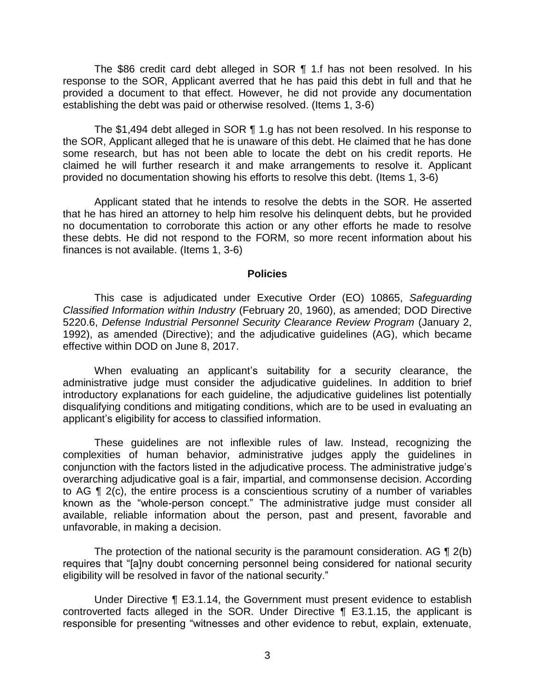The \$86 credit card debt alleged in SOR ¶ 1.f has not been resolved. In his response to the SOR, Applicant averred that he has paid this debt in full and that he provided a document to that effect. However, he did not provide any documentation establishing the debt was paid or otherwise resolved. (Items 1, 3-6)

 The \$1,494 debt alleged in SOR ¶ 1.g has not been resolved. In his response to the SOR, Applicant alleged that he is unaware of this debt. He claimed that he has done some research, but has not been able to locate the debt on his credit reports. He claimed he will further research it and make arrangements to resolve it. Applicant provided no documentation showing his efforts to resolve this debt. (Items 1, 3-6)

 Applicant stated that he intends to resolve the debts in the SOR. He asserted that he has hired an attorney to help him resolve his delinquent debts, but he provided no documentation to corroborate this action or any other efforts he made to resolve these debts. He did not respond to the FORM, so more recent information about his finances is not available. (Items 1, 3-6)

#### **Policies**

 *Classified Information within Industry* (February 20, 1960), as amended; DOD Directive 5220.6, *Defense Industrial Personnel Security Clearance Review Program* (January 2, 1992), as amended (Directive); and the adjudicative guidelines (AG), which became This case is adjudicated under Executive Order (EO) 10865, *Safeguarding*  effective within DOD on June 8, 2017.

 When evaluating an applicant's suitability for a security clearance, the administrative judge must consider the adjudicative guidelines. In addition to brief introductory explanations for each guideline, the adjudicative guidelines list potentially disqualifying conditions and mitigating conditions, which are to be used in evaluating an applicant's eligibility for access to classified information.

 These guidelines are not inflexible rules of law. Instead, recognizing the complexities of human behavior, administrative judges apply the guidelines in conjunction with the factors listed in the adjudicative process. The administrative judge's overarching adjudicative goal is a fair, impartial, and commonsense decision. According to AG ¶ 2(c), the entire process is a conscientious scrutiny of a number of variables known as the "whole-person concept." The administrative judge must consider all available, reliable information about the person, past and present, favorable and unfavorable, in making a decision.

The protection of the national security is the paramount consideration. AG  $\P$  2(b) eligibility will be resolved in favor of the national security." requires that "[a]ny doubt concerning personnel being considered for national security

 Under Directive ¶ E3.1.14, the Government must present evidence to establish controverted facts alleged in the SOR. Under Directive ¶ E3.1.15, the applicant is responsible for presenting "witnesses and other evidence to rebut, explain, extenuate,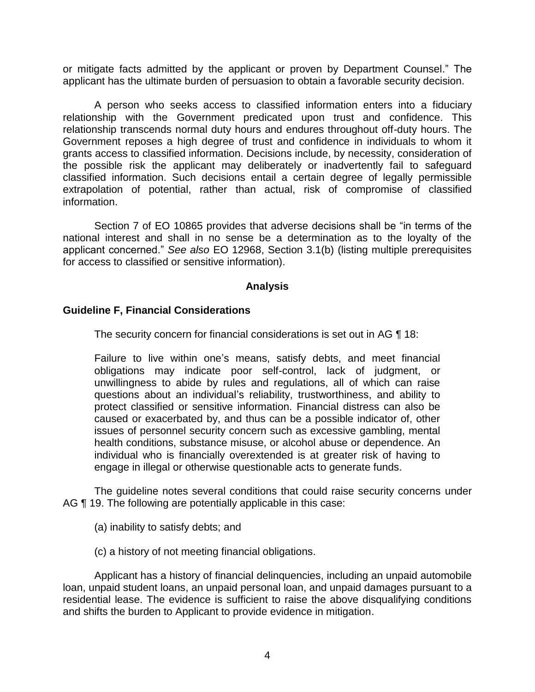or mitigate facts admitted by the applicant or proven by Department Counsel." The applicant has the ultimate burden of persuasion to obtain a favorable security decision.

 A person who seeks access to classified information enters into a fiduciary relationship with the Government predicated upon trust and confidence. This relationship transcends normal duty hours and endures throughout off-duty hours. The Government reposes a high degree of trust and confidence in individuals to whom it grants access to classified information. Decisions include, by necessity, consideration of the possible risk the applicant may deliberately or inadvertently fail to safeguard classified information. Such decisions entail a certain degree of legally permissible extrapolation of potential, rather than actual, risk of compromise of classified information.

 Section 7 of EO 10865 provides that adverse decisions shall be "in terms of the national interest and shall in no sense be a determination as to the loyalty of the applicant concerned." *See also* EO 12968, Section 3.1(b) (listing multiple prerequisites for access to classified or sensitive information).

### **Analysis**

#### **Guideline F, Financial Considerations**

The security concern for financial considerations is set out in AG ¶ 18:

Failure to live within one's means, satisfy debts, and meet financial obligations may indicate poor self-control, lack of judgment, or unwillingness to abide by rules and regulations, all of which can raise questions about an individual's reliability, trustworthiness, and ability to protect classified or sensitive information. Financial distress can also be caused or exacerbated by, and thus can be a possible indicator of, other issues of personnel security concern such as excessive gambling, mental health conditions, substance misuse, or alcohol abuse or dependence. An individual who is financially overextended is at greater risk of having to engage in illegal or otherwise questionable acts to generate funds.

 The guideline notes several conditions that could raise security concerns under AG ¶ 19. The following are potentially applicable in this case:

- (a) inability to satisfy debts; and
- (c) a history of not meeting financial obligations.

 Applicant has a history of financial delinquencies, including an unpaid automobile loan, unpaid student loans, an unpaid personal loan, and unpaid damages pursuant to a residential lease. The evidence is sufficient to raise the above disqualifying conditions and shifts the burden to Applicant to provide evidence in mitigation.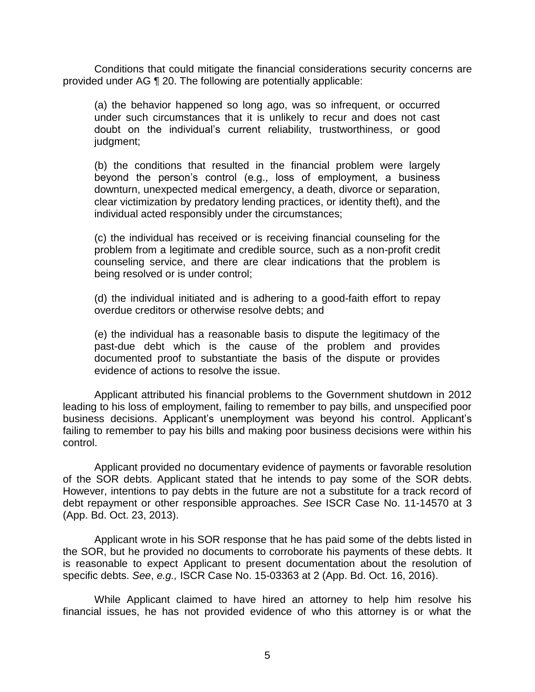Conditions that could mitigate the financial considerations security concerns are provided under AG ¶ 20. The following are potentially applicable:

(a) the behavior happened so long ago, was so infrequent, or occurred under such circumstances that it is unlikely to recur and does not cast doubt on the individual's current reliability, trustworthiness, or good judgment;

(b) the conditions that resulted in the financial problem were largely beyond the person's control (e.g., loss of employment, a business downturn, unexpected medical emergency, a death, divorce or separation, clear victimization by predatory lending practices, or identity theft), and the individual acted responsibly under the circumstances;

(c) the individual has received or is receiving financial counseling for the problem from a legitimate and credible source, such as a non-profit credit counseling service, and there are clear indications that the problem is being resolved or is under control;

(d) the individual initiated and is adhering to a good-faith effort to repay overdue creditors or otherwise resolve debts; and

(e) the individual has a reasonable basis to dispute the legitimacy of the past-due debt which is the cause of the problem and provides documented proof to substantiate the basis of the dispute or provides evidence of actions to resolve the issue.

 Applicant attributed his financial problems to the Government shutdown in 2012 leading to his loss of employment, failing to remember to pay bills, and unspecified poor failing to remember to pay his bills and making poor business decisions were within his business decisions. Applicant's unemployment was beyond his control. Applicant's control.

 of the SOR debts. Applicant stated that he intends to pay some of the SOR debts. However, intentions to pay debts in the future are not a substitute for a track record of debt repayment or other responsible approaches. *See* ISCR Case No. 11-14570 at 3 (App. Bd. Oct. 23, 2013). Applicant provided no documentary evidence of payments or favorable resolution

 (App. Bd. Oct. 23, 2013). Applicant wrote in his SOR response that he has paid some of the debts listed in the SOR, but he provided no documents to corroborate his payments of these debts. It is reasonable to expect Applicant to present documentation about the resolution of specific debts. *See*, *e.g.,* ISCR Case No. 15-03363 at 2 (App. Bd. Oct. 16, 2016).

 While Applicant claimed to have hired an attorney to help him resolve his financial issues, he has not provided evidence of who this attorney is or what the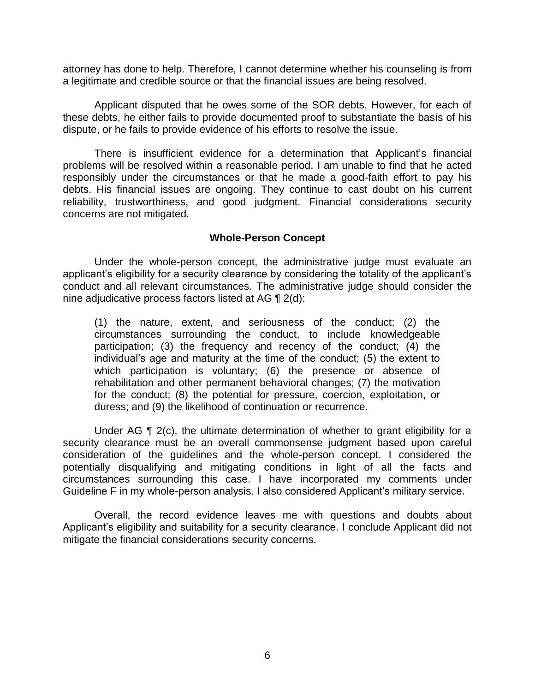attorney has done to help. Therefore, I cannot determine whether his counseling is from a legitimate and credible source or that the financial issues are being resolved.

 Applicant disputed that he owes some of the SOR debts. However, for each of these debts, he either fails to provide documented proof to substantiate the basis of his dispute, or he fails to provide evidence of his efforts to resolve the issue.

 There is insufficient evidence for a determination that Applicant's financial problems will be resolved within a reasonable period. I am unable to find that he acted responsibly under the circumstances or that he made a good-faith effort to pay his debts. His financial issues are ongoing. They continue to cast doubt on his current reliability, trustworthiness, and good judgment. Financial considerations security concerns are not mitigated.

#### **Whole-Person Concept**

Under the whole-person concept, the administrative judge must evaluate an applicant's eligibility for a security clearance by considering the totality of the applicant's conduct and all relevant circumstances. The administrative judge should consider the nine adjudicative process factors listed at AG ¶ 2(d):

(1) the nature, extent, and seriousness of the conduct; (2) the circumstances surrounding the conduct, to include knowledgeable participation; (3) the frequency and recency of the conduct; (4) the individual's age and maturity at the time of the conduct; (5) the extent to which participation is voluntary; (6) the presence or absence of rehabilitation and other permanent behavioral changes; (7) the motivation for the conduct; (8) the potential for pressure, coercion, exploitation, or duress; and (9) the likelihood of continuation or recurrence.

Under AG  $\P$  2(c), the ultimate determination of whether to grant eligibility for a security clearance must be an overall commonsense judgment based upon careful consideration of the guidelines and the whole-person concept. I considered the potentially disqualifying and mitigating conditions in light of all the facts and circumstances surrounding this case. I have incorporated my comments under Guideline F in my whole-person analysis. I also considered Applicant's military service.

 Applicant's eligibility and suitability for a security clearance. I conclude Applicant did not Overall, the record evidence leaves me with questions and doubts about mitigate the financial considerations security concerns.